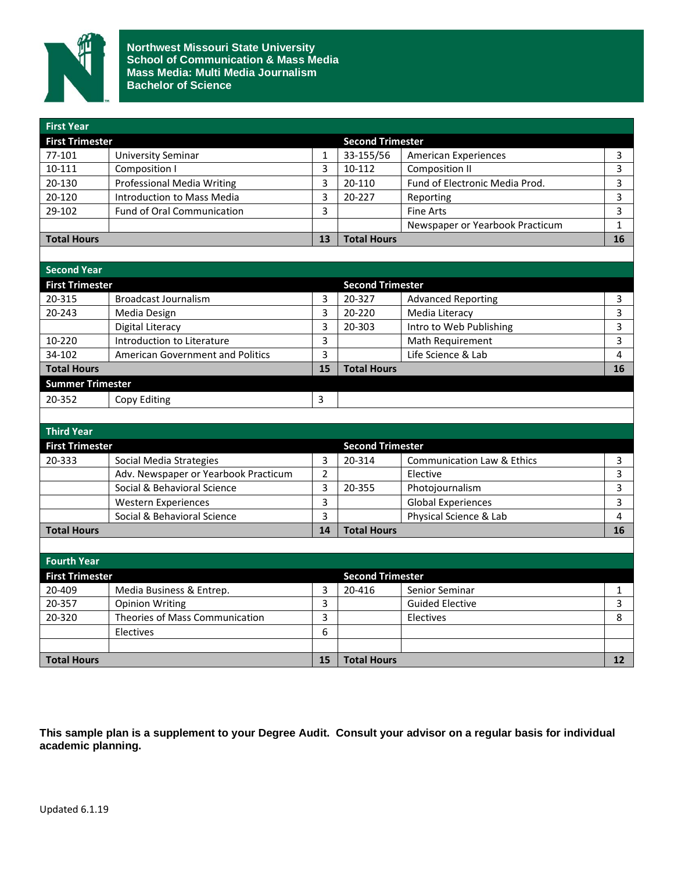

**Northwest Missouri State University School of Communication & Mass Media Mass Media: Multi Media Journalism Bachelor of Science**

| <b>First Year</b>      |                                   |    |                         |                                 |    |  |
|------------------------|-----------------------------------|----|-------------------------|---------------------------------|----|--|
| <b>First Trimester</b> |                                   |    | <b>Second Trimester</b> |                                 |    |  |
| 77-101                 | <b>University Seminar</b>         |    | 33-155/56               | <b>American Experiences</b>     |    |  |
| 10-111                 | Composition I                     |    | 10-112                  | Composition II                  |    |  |
| 20-130                 | <b>Professional Media Writing</b> |    | 20-110                  | Fund of Electronic Media Prod.  |    |  |
| 20-120                 | Introduction to Mass Media        |    | 20-227                  | Reporting                       |    |  |
| 29-102                 | <b>Fund of Oral Communication</b> | 3  |                         | Fine Arts                       |    |  |
|                        |                                   |    |                         | Newspaper or Yearbook Practicum |    |  |
| <b>Total Hours</b>     |                                   | 13 | <b>Total Hours</b>      |                                 | 16 |  |
|                        |                                   |    |                         |                                 |    |  |

| Second Year             |                                         |    |                         |                           |    |  |
|-------------------------|-----------------------------------------|----|-------------------------|---------------------------|----|--|
| <b>First Trimester</b>  |                                         |    | <b>Second Trimester</b> |                           |    |  |
| 20-315                  | Broadcast Journalism                    | 3  | 20-327                  | <b>Advanced Reporting</b> |    |  |
| 20-243                  | Media Design                            | 3  | 20-220                  | Media Literacy            | 3  |  |
|                         | Digital Literacy                        | 3  | 20-303                  | Intro to Web Publishing   |    |  |
| 10-220                  | Introduction to Literature              | 3  |                         | Math Requirement          | 3  |  |
| 34-102                  | <b>American Government and Politics</b> | 3  |                         | Life Science & Lab        | 4  |  |
| <b>Total Hours</b>      |                                         | 15 | <b>Total Hours</b>      |                           | 16 |  |
| <b>Summer Trimester</b> |                                         |    |                         |                           |    |  |
| 20-352                  | Copy Editing                            | 3  |                         |                           |    |  |

| <b>Third Year</b>      |                                      |    |                         |                            |    |
|------------------------|--------------------------------------|----|-------------------------|----------------------------|----|
| <b>First Trimester</b> |                                      |    | <b>Second Trimester</b> |                            |    |
| 20-333                 | Social Media Strategies              | 3  | 20-314                  | Communication Law & Ethics |    |
|                        | Adv. Newspaper or Yearbook Practicum | າ  |                         | Elective                   |    |
|                        | Social & Behavioral Science          |    | 20-355                  | Photojournalism            |    |
|                        | <b>Western Experiences</b>           | 3  |                         | <b>Global Experiences</b>  | 3  |
|                        | Social & Behavioral Science          | 3  |                         | Physical Science & Lab     | 4  |
| <b>Total Hours</b>     |                                      | 14 | <b>Total Hours</b>      |                            | 16 |
|                        |                                      |    |                         |                            |    |

| <b>Fourth Year</b>     |                                |    |                         |                        |    |  |
|------------------------|--------------------------------|----|-------------------------|------------------------|----|--|
| <b>First Trimester</b> |                                |    | <b>Second Trimester</b> |                        |    |  |
| 20-409                 | Media Business & Entrep.       |    | 20-416                  | Senior Seminar         |    |  |
| 20-357                 | <b>Opinion Writing</b>         |    |                         | <b>Guided Elective</b> |    |  |
| 20-320                 | Theories of Mass Communication |    |                         | Electives              |    |  |
|                        | Electives                      | 6  |                         |                        |    |  |
|                        |                                |    |                         |                        |    |  |
| <b>Total Hours</b>     |                                | 15 | <b>Total Hours</b>      |                        | 12 |  |

**This sample plan is a supplement to your Degree Audit. Consult your advisor on a regular basis for individual academic planning.**